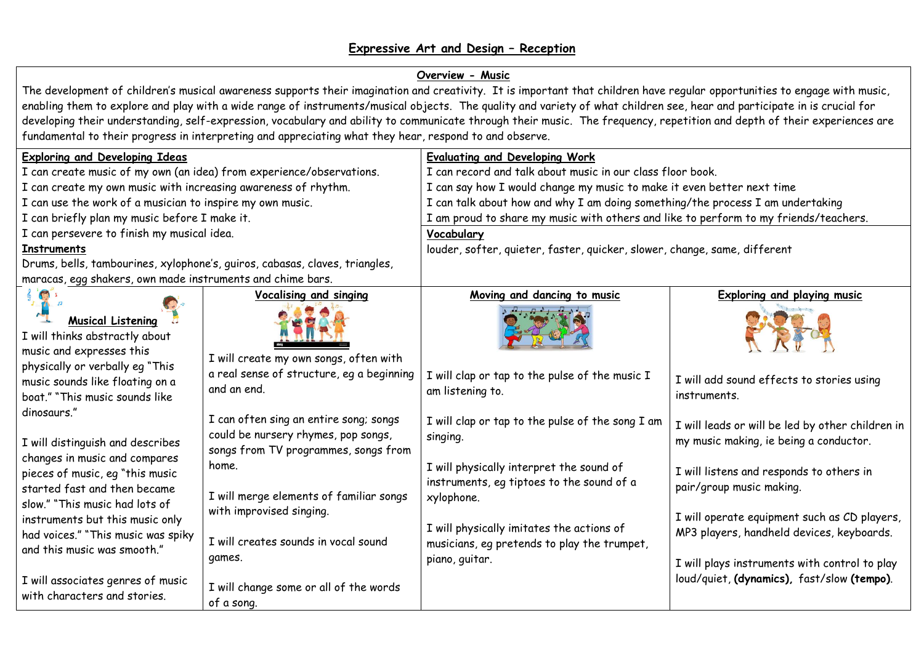## **Expressive Art and Design – Reception**

## **Overview - Music**

The development of children's musical awareness supports their imagination and creativity. It is important that children have regular opportunities to engage with music, enabling them to explore and play with a wide range of instruments/musical objects. The quality and variety of what children see, hear and participate in is crucial for developing their understanding, self-expression, vocabulary and ability to communicate through their music. The frequency, repetition and depth of their experiences are fundamental to their progress in interpreting and appreciating what they hear, respond to and observe.

| <b>Exploring and Developing Ideas</b>                                                                                                                                                                                                                                                                                                                                                                                                                                                                                                                                              |                                                                                                                                                                                                       | <b>Evaluating and Developing Work</b>                                                                                                                                                                                                                                             |                                                                                                                                                                                                                    |  |
|------------------------------------------------------------------------------------------------------------------------------------------------------------------------------------------------------------------------------------------------------------------------------------------------------------------------------------------------------------------------------------------------------------------------------------------------------------------------------------------------------------------------------------------------------------------------------------|-------------------------------------------------------------------------------------------------------------------------------------------------------------------------------------------------------|-----------------------------------------------------------------------------------------------------------------------------------------------------------------------------------------------------------------------------------------------------------------------------------|--------------------------------------------------------------------------------------------------------------------------------------------------------------------------------------------------------------------|--|
| I can create music of my own (an idea) from experience/observations.                                                                                                                                                                                                                                                                                                                                                                                                                                                                                                               |                                                                                                                                                                                                       | I can record and talk about music in our class floor book.                                                                                                                                                                                                                        |                                                                                                                                                                                                                    |  |
| I can create my own music with increasing awareness of rhythm.                                                                                                                                                                                                                                                                                                                                                                                                                                                                                                                     |                                                                                                                                                                                                       | I can say how I would change my music to make it even better next time                                                                                                                                                                                                            |                                                                                                                                                                                                                    |  |
| I can use the work of a musician to inspire my own music.                                                                                                                                                                                                                                                                                                                                                                                                                                                                                                                          |                                                                                                                                                                                                       | I can talk about how and why I am doing something/the process I am undertaking                                                                                                                                                                                                    |                                                                                                                                                                                                                    |  |
| I can briefly plan my music before I make it.                                                                                                                                                                                                                                                                                                                                                                                                                                                                                                                                      |                                                                                                                                                                                                       | I am proud to share my music with others and like to perform to my friends/teachers.                                                                                                                                                                                              |                                                                                                                                                                                                                    |  |
| I can persevere to finish my musical idea.                                                                                                                                                                                                                                                                                                                                                                                                                                                                                                                                         |                                                                                                                                                                                                       | Vocabulary                                                                                                                                                                                                                                                                        |                                                                                                                                                                                                                    |  |
| <b>Instruments</b>                                                                                                                                                                                                                                                                                                                                                                                                                                                                                                                                                                 |                                                                                                                                                                                                       | louder, softer, quieter, faster, quicker, slower, change, same, different                                                                                                                                                                                                         |                                                                                                                                                                                                                    |  |
| Drums, bells, tambourines, xylophone's, guiros, cabasas, claves, triangles,                                                                                                                                                                                                                                                                                                                                                                                                                                                                                                        |                                                                                                                                                                                                       |                                                                                                                                                                                                                                                                                   |                                                                                                                                                                                                                    |  |
| maracas, egg shakers, own made instruments and chime bars.                                                                                                                                                                                                                                                                                                                                                                                                                                                                                                                         |                                                                                                                                                                                                       |                                                                                                                                                                                                                                                                                   |                                                                                                                                                                                                                    |  |
| $\sqrt{2}$<br><b>Musical Listening</b><br>I will thinks abstractly about<br>music and expresses this<br>physically or verbally eg "This<br>music sounds like floating on a<br>boat." "This music sounds like<br>dinosaurs."<br>I will distinguish and describes<br>changes in music and compares<br>pieces of music, eg "this music<br>started fast and then became<br>slow." "This music had lots of<br>instruments but this music only<br>had voices." "This music was spiky<br>and this music was smooth."<br>I will associates genres of music<br>with characters and stories. | <b>Vocalising and singing</b><br>I will create my own songs, often with<br>a real sense of structure, eg a beginning                                                                                  | Moving and dancing to music<br>I will clap or tap to the pulse of the music I                                                                                                                                                                                                     | <b>Exploring and playing music</b>                                                                                                                                                                                 |  |
|                                                                                                                                                                                                                                                                                                                                                                                                                                                                                                                                                                                    | and an end.                                                                                                                                                                                           | am listening to.                                                                                                                                                                                                                                                                  | I will add sound effects to stories using<br>instruments.                                                                                                                                                          |  |
|                                                                                                                                                                                                                                                                                                                                                                                                                                                                                                                                                                                    | I can often sing an entire song; songs<br>could be nursery rhymes, pop songs,<br>songs from TV programmes, songs from<br>home.<br>I will merge elements of familiar songs<br>with improvised singing. | I will clap or tap to the pulse of the song I am<br>singing.<br>I will physically interpret the sound of<br>instruments, eq tiptoes to the sound of a<br>xylophone.<br>I will physically imitates the actions of<br>musicians, eq pretends to play the trumpet,<br>piano, guitar. | I will leads or will be led by other children in<br>my music making, ie being a conductor.<br>I will listens and responds to others in<br>pair/group music making.<br>I will operate equipment such as CD players, |  |
|                                                                                                                                                                                                                                                                                                                                                                                                                                                                                                                                                                                    | I will creates sounds in vocal sound<br>games.<br>I will change some or all of the words<br>of a song.                                                                                                |                                                                                                                                                                                                                                                                                   | MP3 players, handheld devices, keyboards.<br>I will plays instruments with control to play<br>loud/quiet, (dynamics), fast/slow (tempo).                                                                           |  |